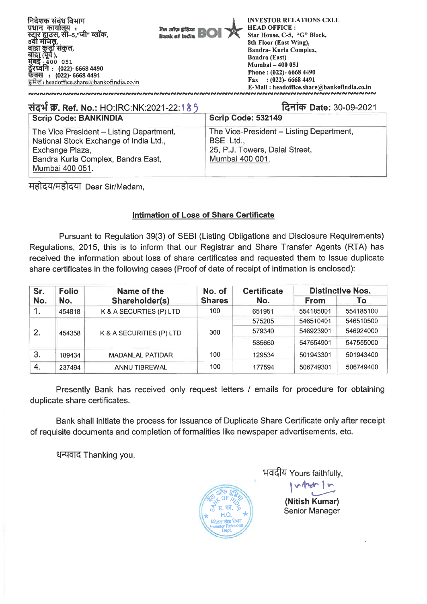

| संदर्भ क्र. Ref. No.: HO:IRC:NK:2021-22: 185                                                                                                                   | दिनांक Date: 30-09-2021                                                                                    |
|----------------------------------------------------------------------------------------------------------------------------------------------------------------|------------------------------------------------------------------------------------------------------------|
| <b>Scrip Code: BANKINDIA</b>                                                                                                                                   | Scrip Code: 532149                                                                                         |
| The Vice President - Listing Department,<br>National Stock Exchange of India Ltd.,<br>Exchange Plaza,<br>Bandra Kurla Complex, Bandra East,<br>Mumbai 400 051. | The Vice-President - Listing Department,<br>BSE Ltd.,<br>25, P.J. Towers, Dalal Street,<br>Mumbai 400 001. |

महोदय/महोदया Dear Sir/Madam,

### **Intimation of Loss of Share Certificate**

Pursuant to Regulation 39(3) of SEBI (Listing Obligations and Disclosure Requirements) Regulations, 2015, this is to inform that our Registrar and Share Transfer Agents (RTA) has received the information about loss of share certificates and requested them to issue duplicate share certificates in the following cases (Proof of date of receipt of intimation is enclosed):

| Sr. | <b>Folio</b>          | Name of the              | No. of        | <b>Certificate</b> |             | <b>Distinctive Nos.</b> |
|-----|-----------------------|--------------------------|---------------|--------------------|-------------|-------------------------|
| No. | Shareholder(s)<br>No. |                          | <b>Shares</b> | No.                | <b>From</b> | To                      |
|     | 454818                | K & A SECURTIES (P) LTD  | 100           | 651951             | 554185001   | 554185100               |
|     |                       |                          | 300           | 575205             | 546510401   | 546510500               |
| 2.  | 454358                | K & A SECURITIES (P) LTD |               | 579340             | 546923901   | 546924000               |
|     |                       |                          |               | 585650             | 547554901   | 547555000               |
| 3.  | 189434                | <b>MADANLAL PATIDAR</b>  | 100           | 129534             | 501943301   | 501943400               |
| -4. | 237494                | ANNU TIBREWAL            | 100           | 177594             | 506749301   | 506749400               |

Presently Bank has received only request letters / emails for procedure for obtaining duplicate share certificates.

Bank shall initiate the process for Issuance of Duplicate Share Certificate only after receipt of requisite documents and completion of formalities like newspaper advertisements, etc.

धन्यवाद Thanking you,



भवदीय Yours faithfully,

**(Nitish Kumar)**  Senior Manager

 $v_{\text{up}}$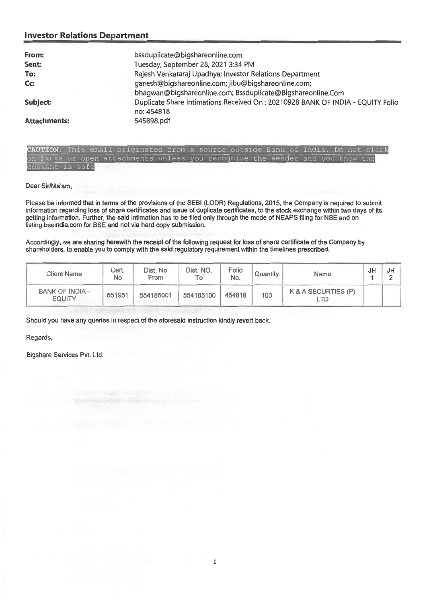| From:               | bssduplicate@bigshareonline.com                                                |
|---------------------|--------------------------------------------------------------------------------|
| Sent:               | Tuesday, September 28, 2021 3:34 PM                                            |
| To:                 | Rajesh Venkataraj Upadhya; Investor Relations Department                       |
| Cc:                 | ganesh@bigshareonline.com; jibu@bigshareonline.com;                            |
|                     | bhagwan@bigshareonline.com; Bssduplicate@Bigshareonline.Com                    |
| Subject:            | Duplicate Share Intimations Received On: 20210928 BANK OF INDIA - EQUITY Folio |
|                     | no: 454818                                                                     |
| <b>Attachments:</b> | 545898.pdf                                                                     |
|                     |                                                                                |

|                 |  | CAUTION: This email originated from a source outside Bank of India. Do not click |  |  |  |  |  |  |
|-----------------|--|----------------------------------------------------------------------------------|--|--|--|--|--|--|
|                 |  | on links or open attachments unless you recognize the sender and you know the    |  |  |  |  |  |  |
| content is safe |  |                                                                                  |  |  |  |  |  |  |

Dear Sir/Ma'am,

Please be informed that in terms of the provisions of the SEBI (LODR) Regulations, 2015, the Company is required to submit information regarding loss of share certificates and issue of duplicate certificates, to the stock exchange within two days of its getting information. Further, the said intimation has to be filed only through the mode of NEAPS filing for NSE and on listing.bseindia.com for BSE and not via hard copy submission.

Accordingly, we are sharing herewith the receipt of the following request for loss of share certificate of the Company by shareholders, to enable you to comply with the said regulatory requirement within **the** timelines prescribed.

| <b>Client Name</b>               | Cert.<br>No | Dist. No<br>From | Dist. NO. | Folio<br>No. | Quantity | Name                | JF | JH |
|----------------------------------|-------------|------------------|-----------|--------------|----------|---------------------|----|----|
| BANK OF INDIA -<br><b>EQUITY</b> | 651951      | 554185001        | 554185100 | 454818       | 100      | K & A SECURTIES (P) |    |    |

Should you have any queries in respect of the aforesaid instruction kindly revert back.

Regards,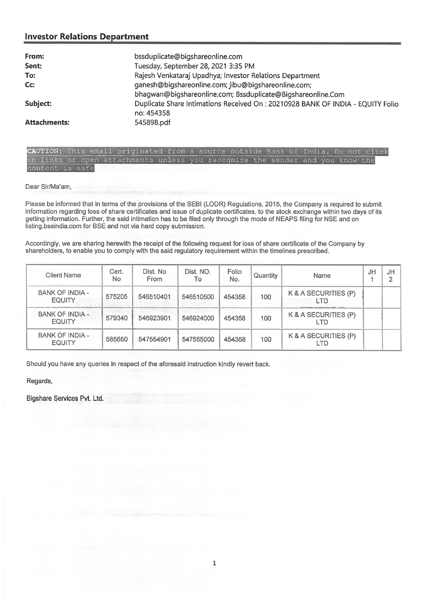| From:               | bssduplicate@bigshareonline.com                                                 |
|---------------------|---------------------------------------------------------------------------------|
| Sent:               | Tuesday, September 28, 2021 3:35 PM                                             |
| To:                 | Rajesh Venkataraj Upadhya; Investor Relations Department                        |
| Cc:                 | ganesh@bigshareonline.com; jibu@bigshareonline.com;                             |
|                     | bhagwan@bigshareonline.com; Bssduplicate@Bigshareonline.Com                     |
| Subject:            | Duplicate Share Intimations Received On : 20210928 BANK OF INDIA - EQUITY Folio |
|                     | no: 454358                                                                      |
| <b>Attachments:</b> | 545898.pdf                                                                      |

CAUTION: This email originated from a source outside Bank of India. Do not click on links or open attachments unless you recognize the sender and you know the content is safe

Dear Sir/Ma'am,

Please be informed that in terms of the provisions of the SEBI (LODR) Regulations, 2015, the Company is required to submit information regarding loss of share certificates and issue of duplicate certificates, to the stock exchange within two days of its getting information. Further, the said intimation has to be filed only through the mode of NEAPS filing for NSE and on listing.bseindia.com for BSE and not via hard copy submission.

Accordingly, we are sharing herewith the receipt of the following request for loss of share certificate of the Company by shareholders, to enable you to comply with the said regulatory requirement within the timelines prescribed.

| <b>Client Name</b>                      | Cert.<br>No | Dist. No<br><b>From</b> | Dist. NO.<br>To | Folio<br>No. | Quantity | Name                        | JH | JH<br>◠ |
|-----------------------------------------|-------------|-------------------------|-----------------|--------------|----------|-----------------------------|----|---------|
| <b>BANK OF INDIA -</b><br><b>EQUITY</b> | 575205      | 546510401               | 546510500       | 454358       | 100      | K & A SECURITIES (P)<br>LTD |    |         |
| <b>BANK OF INDIA -</b><br><b>EQUITY</b> | 579340      | 546923901               | 546924000       | 454358       | 100      | K & A SECURITIES (P)<br>LTD |    |         |
| <b>BANK OF INDIA -</b><br><b>EQUITY</b> | 585650      | 547554901               | 547555000       | 454358       | 100      | K & A SECURITIES (P)<br>LTD |    |         |

Should you have any queries in respect of the aforesaid instruction kindly revert back.

Regards,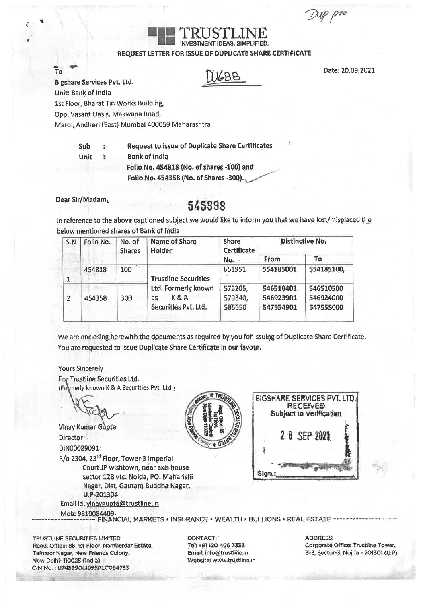rep pro

### INVESTMENT IDEAS, SIMPLIFIED. REQUEST LETTER FOR ISSUE OF DUPLICATE SHARE CERTIFICATE

TRUSTLINE

Date: 20.09.2021

10<br>Bigshare Services Pvt. Ltd. MOB2

 $T_0$   $\rightarrow$ 

Unit: Bank of India

1st Fioor, Bharat Tin Works Building,

Qpp. Vasant Oasis, Makwana Road,

Ma rol, Andheri (East) Mumbai 400059 Maharashtra

**Sub Request to issue of Duplicate Share certificates** 

**Unit Bank of. India Folio No. 454818 (No, of shares -100) and** 

**Folio No. 454358 (No. of Shares .300).** 

# **Dear Sir/Madam,** <sup>545898</sup>

In reference to the above captioned subject we would like to inform you that we have lost/misplaced the below mentioned shares of Bank of India

| S.N            | Folio No. | No. of<br>Shares | <b>Name of Share</b><br><b>Holder</b>                                | <b>Share</b><br>Certificate  | <b>Distinctive No.</b>              |                                     |  |  |
|----------------|-----------|------------------|----------------------------------------------------------------------|------------------------------|-------------------------------------|-------------------------------------|--|--|
|                |           |                  |                                                                      | No.                          | From                                | To                                  |  |  |
| $\mathbf{1}$   | 454818    | 100              | <b>Trustline Securities</b>                                          | 651951                       | 554185001                           | 554185100,                          |  |  |
| $\overline{2}$ | 454358    | 300              | Ltd. Formerly known<br><b>K&amp;A</b><br>as:<br>Securities Pvt, Ltd. | 575205,<br>579340,<br>585650 | 546510401<br>546923901<br>547554901 | 546510500<br>546924000<br>547555000 |  |  |

We are enclosing herewith the documents as required by you for issuing of Duplicate Share Certificate. You are requested to issue Duplicate Share Certificate in our favour.

### Yours Sincerely For Trustline Securities Ltd.

(Formerly known K & A Securities Pvt. Ltd.)

Rio 2304, 23rd Floor, Tower 3 Imperial Court JP wishtown, near axis house sector 128 vtc: Noida, PO; Maharishi Nagar, Dist. Gautam Buddha Nagar,. V.P-201304 Email id: vinaygupta@trustline.in Vinay Kumar Gupta **Director** DIN00029091

Mob: 9810084409





TRUSTLINE SECURITIES LIMITED CONTACT: ADDRESS: Regd. Office: 85,1st Floor, Namberdar Estate, Tel: +91120 466 3333 Corporate Office: Trustline Tower, Tel +91120 466 3333 Corporate Office: Trustline Tower, Taimoor Nagar, New Friends Colony, Email: Info@trustline.in B-3, Taimoor Nagar, New Friends Colony, Info@trustline.in New Delhi-110025 (India) Website: Www.trustlinain CIN No. : U74899DL1995PLC064753

FINANCIAL MARKETS **\*** INSURANCE \* WEALTH \* BULLIONS \* REAL ESTATE -----------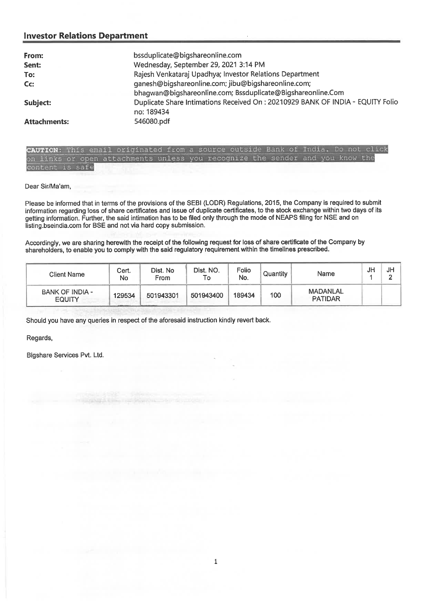| From:               | bssduplicate@bigshareonline.com                                                 |
|---------------------|---------------------------------------------------------------------------------|
| Sent:               | Wednesday, September 29, 2021 3:14 PM                                           |
| To:                 | Rajesh Venkataraj Upadhya; Investor Relations Department                        |
| Cc:                 | ganesh@bigshareonline.com; jibu@bigshareonline.com;                             |
|                     | bhagwan@bigshareonline.com; Bssduplicate@Bigshareonline.Com                     |
| Subject:            | Duplicate Share Intimations Received On : 20210929 BANK OF INDIA - EQUITY Folio |
|                     | no: 189434                                                                      |
| <b>Attachments:</b> | 546080.pdf                                                                      |
|                     |                                                                                 |

| CAUTION: This email originated from a source outside Bank of India. Do not click |  |  |  |  |  |  |  |  |
|----------------------------------------------------------------------------------|--|--|--|--|--|--|--|--|
| on links or open attachments unless you recognize the sender and you know the    |  |  |  |  |  |  |  |  |
| content is safe                                                                  |  |  |  |  |  |  |  |  |

Dear Sir/Ma'am,

Please be informed that in terms of the provisions of the SEBI (LODR) Regulations, 2015, the Company is required to submit information regarding loss of share certificates and issue of duplicate certificates, to the stock exchange within two days of its getting information. Further, the said intimation has to be filed only through the mode of NEAPS filing for NSE and on listing.bseindia.com for BSE and not via hard copy submission.

Accordingly, we are sharing herewith the receipt of the following request for loss of share certificate of the Company by shareholders, to enable you to comply with the said regulatory requirement within the timelines prescribed.

| <b>Client Name</b>               | Cert.<br>No. | Dist. No<br><b>From</b> | Dist. NO.<br>To | Folio<br>No. | Quantity | Name                       | JH | JH |
|----------------------------------|--------------|-------------------------|-----------------|--------------|----------|----------------------------|----|----|
| BANK OF INDIA -<br><b>EQUITY</b> | 129534       | 501943301               | 501943400       | 189434       | 100      | MADANLAL<br><b>PATIDAR</b> |    |    |

Should you have any queries in respect of the aforesaid instruction kindly revert back.

Regards,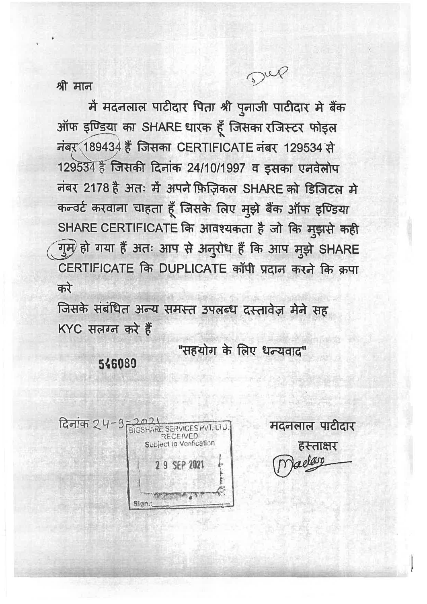श्री मान

में मदनलाल पाटीदार पिता श्री पुनाजी पाटीदार मे बैंक ऑफ इण्डिया का SHARE धारक हूँ जिसका रजिस्टर फोइल नंबर 189434 हैं जिसका CERTIFICATE नंबर 129534 से 129534 हैं जिसकी दिनांक 24/10/1997 व इसका एनवेलोप नंबर 2178 है अतः में अपने फ़िज़िकल SHARE को डिजिटल मे कन्वर्ट करवाना चाहता हूँ जिसके लिए मुझे बैंक ऑफ इण्डिया SHARE CERTIFICATE कि आवश्यकता है जो कि मुझसे कही गुम) हो गया हैं अतः आप से अनुरोध हैं कि आप मूझे SHARE CERTIFICATE कि DUPLICATE कॉपी प्रदान करने कि क्रपा करे

जिसके संबंधित अन्य समस्त उपलब्ध दस्तावेज़ मेने सह KYC सलग्न करे हैं

> "सहयोग के लिए धन्यवाद" 546080

दिनांक 24-9 -2021 **RECEIVED** Subject to Verification 2 9 SEP 2021 Sign.:

मदनलाल पाटीदार हस्ताक्षर dan

Dup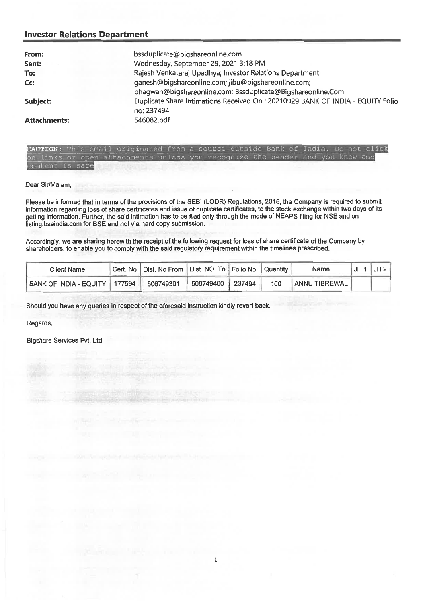| From:               | bssduplicate@bigshareonline.com                                                 |
|---------------------|---------------------------------------------------------------------------------|
| Sent:               | Wednesday, September 29, 2021 3:18 PM                                           |
| To:                 | Rajesh Venkataraj Upadhya; Investor Relations Department                        |
| Cc                  | ganesh@bigshareonline.com; jibu@bigshareonline.com;                             |
|                     | bhaqwan@bigshareonline.com; Bssduplicate@Bigshareonline.Com                     |
| Subject:            | Duplicate Share Intimations Received On : 20210929 BANK OF INDIA - EQUITY Folio |
|                     | no: 237494                                                                      |
| <b>Attachments:</b> | 546082.pdf                                                                      |

|                 |  | CAUTION: This email originated from a source outside Bank of India. Do not click |  |  |  |  |  |
|-----------------|--|----------------------------------------------------------------------------------|--|--|--|--|--|
|                 |  | on links or open attachments unless you recognize the sender and you know the    |  |  |  |  |  |
| content is safe |  |                                                                                  |  |  |  |  |  |

Dear Sir/Ma'am,

Please be informed that in terms of the provisions of the SEBI (LODR) Regulations, 2015, the Company is required to submit information regarding loss of share certificates and issue of duplicate certificates, to the stock exchange within two days of its getting information. Further, the said intimation has to be filed only through the mode of NEAPS filing for NSE and on listing.bseindia.com for BSE and not via hard copy submission.

Accordingly, we are sharing herewith the receipt of the following request for loss of share certificate of the Company by shareholders, to enable you to comply with the said regulatory requirement within the timelines prescribed.

| Client Name                   | Cert. No   Dist. No From   Dist. NO. To   Folio No.   Quantity |                  |     | Name          | JH 1 | JH2 |
|-------------------------------|----------------------------------------------------------------|------------------|-----|---------------|------|-----|
| BANK OF INDIA - EQUITY 177594 | 506749301                                                      | 506749400 237494 | 100 | ANNU TIBREWAL |      |     |

Should you have any queries in respect of the aforesaid instruction kindly revert back.

Regards,